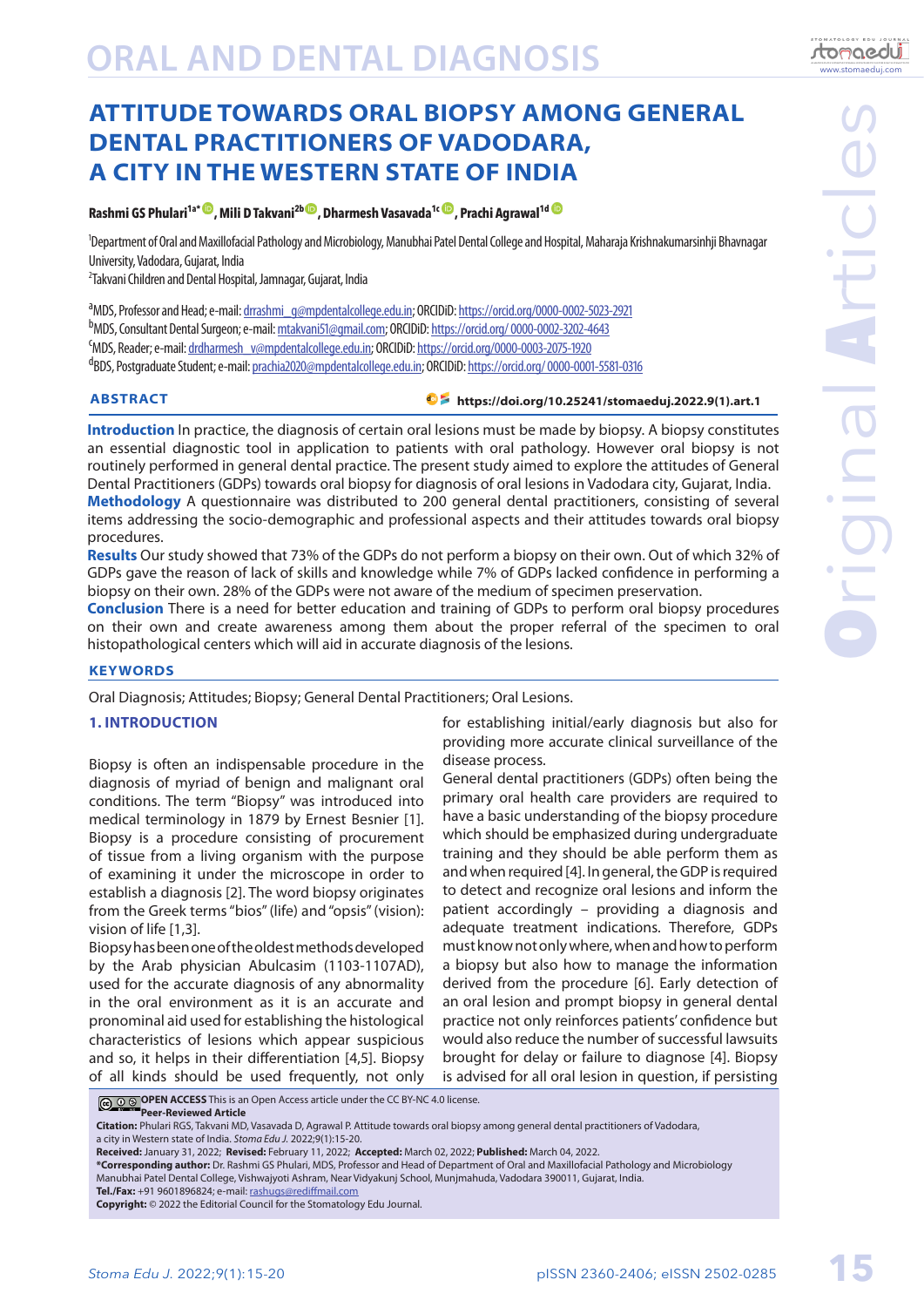# **ORAL AND DENTAL DIAGNOSIS**

# **ATTITUDE TOWARDS ORAL BIOPSY AMONG GENERAL DENTAL PRACTITIONERS OF VADODARA, A CITY IN THE WESTERN STATE OF INDIA**

### **Rashmi GS Phulari<sup>1a</sub><sup>t</sup> , Mili D Takvani<sup>2b</sup> , Dharmesh Vasava[d](https://orcid.org/ 0000-0001-5581-0316)a<sup>1c (D</sup>, Prachi Agrawal<sup>1d</sup> <sup>(D</sup>**</sup>

1 Department of Oral and Maxillofacial Pathology and Microbiology, Manubhai Patel Dental College and Hospital, Maharaja Krishnakumarsinhji Bhavnagar University, Vadodara, Gujarat, India

2 Takvani Children and Dental Hospital, Jamnagar, Gujarat, India

a<br>MDS, Professor and Head; e-mail: <u>drrashmi\_g@mpdentalcollege.edu.in</u>; ORCIDiD: <https://orcid.org/0000-0002-5023-2921> b<sub>MDS,</sub> Consultant Dental Surgeon; e-mail: <u>mtakvani51@gmail.com</u>; ORCIDiD: <u>https://orcid.org/ 0000-0002-3202-4643</u><br>SMDS, Reader: e-mail: drdharmesh, w@mndentalcollege edu.in: ORCIDiD: https://orcid.org/0000-0003-2075-192 MDS, Reader; e-mail: [drdharmesh\\_v@mpdentalcollege.edu.in](mailto:drdharmesh_v%40mpdentalcollege.edu.in?subject=); ORCIDiD:<https://orcid.org/0000-0003-2075-1920> dBDS, Postgraduate Student; e-mail: <u>prachia2020@mpdentalcollege.edu.in</u>; ORCIDiD: <u><https://orcid.org/ 0000-0001-5581-0316></u>

### **ABSTRACT**

### **[https://doi.org/10.25241/stomaeduj.2022.9\(1\).art.1](http://www.stomaeduj.com/wp-content/uploads/2022/01/Article_9_1_1.pdf)**

**Introduction** In practice, the diagnosis of certain oral lesions must be made by biopsy. A biopsy constitutes an essential diagnostic tool in application to patients with oral pathology. However oral biopsy is not routinely performed in general dental practice. The present study aimed to explore the attitudes of General Dental Practitioners (GDPs) towards oral biopsy for diagnosis of oral lesions in Vadodara city, Gujarat, India. **Methodology** A questionnaire was distributed to 200 general dental practitioners, consisting of several items addressing the socio-demographic and professional aspects and their attitudes towards oral biopsy procedures.

**Results** Our study showed that 73% of the GDPs do not perform a biopsy on their own. Out of which 32% of GDPs gave the reason of lack of skills and knowledge while 7% of GDPs lacked confidence in performing a biopsy on their own. 28% of the GDPs were not aware of the medium of specimen preservation.

**Conclusion** There is a need for better education and training of GDPs to perform oral biopsy procedures on their own and create awareness among them about the proper referral of the specimen to oral histopathological centers which will aid in accurate diagnosis of the lesions.

### **KEYWORDS**

Oral Diagnosis; Attitudes; Biopsy; General Dental Practitioners; Oral Lesions.

### **1. INTRODUCTION**

Biopsy is often an indispensable procedure in the diagnosis of myriad of benign and malignant oral conditions. The term "Biopsy" was introduced into medical terminology in 1879 by Ernest Besnier [1]. Biopsy is a procedure consisting of procurement of tissue from a living organism with the purpose of examining it under the microscope in order to establish a diagnosis [2]. The word biopsy originates from the Greek terms "bios" (life) and "opsis" (vision): vision of life [1,3].

Biopsy has been one of the oldest methods developed by the Arab physician Abulcasim (1103-1107AD), used for the accurate diagnosis of any abnormality in the oral environment as it is an accurate and pronominal aid used for establishing the histological characteristics of lesions which appear suspicious and so, it helps in their differentiation [4,5]. Biopsy of all kinds should be used frequently, not only

for establishing initial/early diagnosis but also for providing more accurate clinical surveillance of the disease process.

General dental practitioners (GDPs) often being the primary oral health care providers are required to have a basic understanding of the biopsy procedure which should be emphasized during undergraduate training and they should be able perform them as and when required [4]. In general, the GDP is required to detect and recognize oral lesions and inform the patient accordingly – providing a diagnosis and adequate treatment indications. Therefore, GDPs must know not only where, when and how to perform a biopsy but also how to manage the information derived from the procedure [6]. Early detection of an oral lesion and prompt biopsy in general dental practice not only reinforces patients' confidence but would also reduce the number of successful lawsuits brought for delay or failure to diagnose [4]. Biopsy is advised for all oral lesion in question, if persisting

**C O OPEN ACCESS** This is an Open Access article under the CC BY-NC 4.0 license.

**Peer-Reviewed Article**

**Citation:** Phulari RGS, Takvani MD, Vasavada D, Agrawal P. Attitude towards oral biopsy among general dental practitioners of Vadodara, a city in Western state of India. *Stoma Edu J.* 2022;9(1):15-20.

- **\*Corresponding author:** Dr. Rashmi GS Phulari, MDS, Professor and Head of Department of Oral and Maxillofacial Pathology and Microbiology Manubhai Patel Dental College, Vishwajyoti Ashram, Near Vidyakunj School, Munjmahuda, Vadodara 390011, Gujarat, India.
- **Tel./Fax:** +91 9601896824; e-mail: [rashugs@rediffmail.com](mailto:rashugs%40rediffmail.com?subject=)

www.stomaeduj.com

tomaedui

**Received:** January 31, 2022; **Revised:** February 11, 2022; **Accepted:** March 02, 2022; **Published:** March 04, 2022.

**Copyright:** © 2022 the Editorial Council for the Stomatology Edu Journal.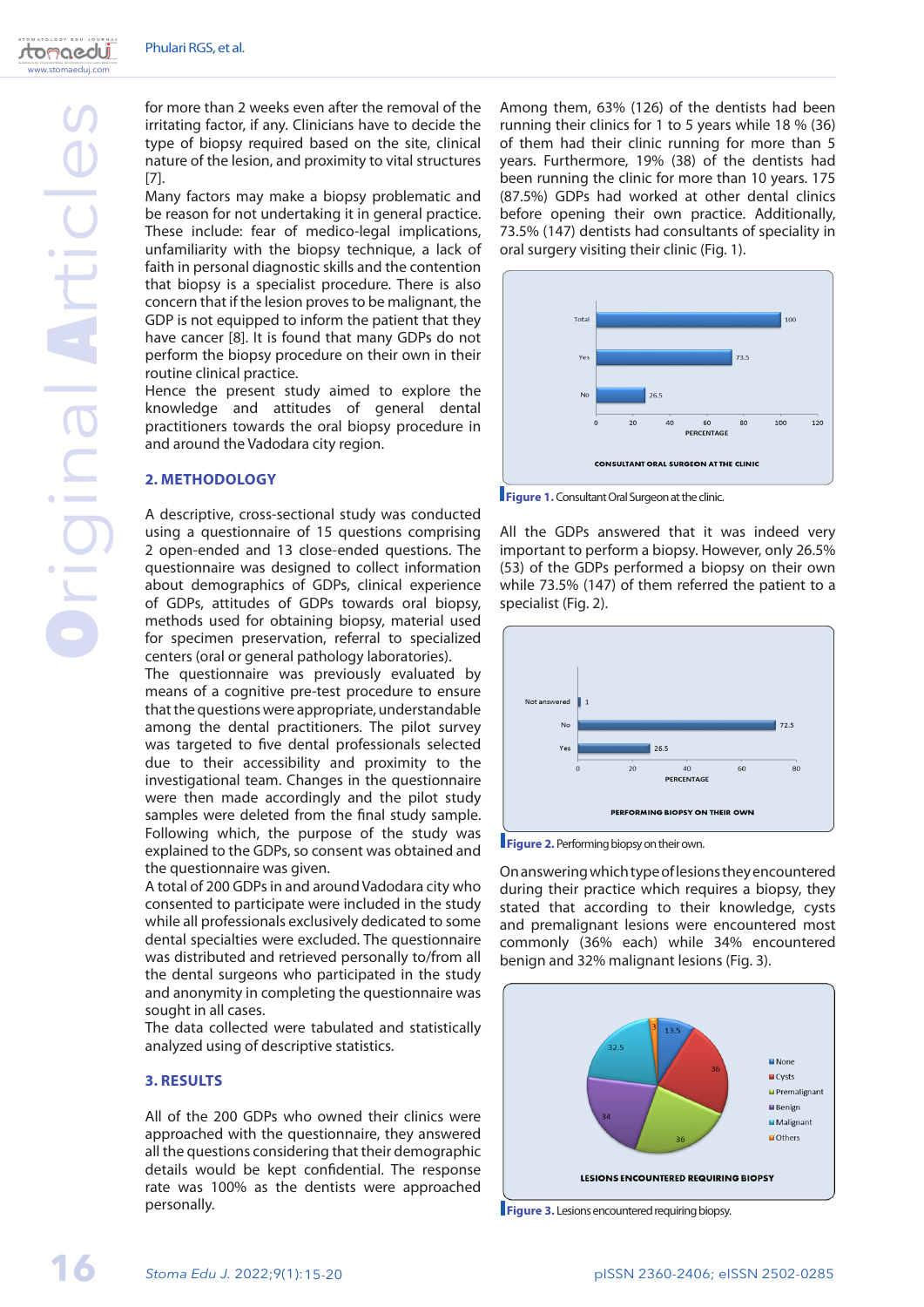www.stomaeduj.com

tomaedui

for more than 2 weeks even after the removal of the irritating factor, if any. Clinicians have to decide the type of biopsy required based on the site, clinical nature of the lesion, and proximity to vital structures [7].

Many factors may make a biopsy problematic and be reason for not undertaking it in general practice. These include: fear of medico-legal implications, unfamiliarity with the biopsy technique, a lack of faith in personal diagnostic skills and the contention that biopsy is a specialist procedure. There is also concern that if the lesion proves to be malignant, the GDP is not equipped to inform the patient that they have cancer [8]. It is found that many GDPs do not perform the biopsy procedure on their own in their routine clinical practice.

Hence the present study aimed to explore the knowledge and attitudes of general dental practitioners towards the oral biopsy procedure in and around the Vadodara city region.

### **2. METHODOLOGY**

A descriptive, cross-sectional study was conducted using a questionnaire of 15 questions comprising 2 open-ended and 13 close-ended questions. The questionnaire was designed to collect information about demographics of GDPs, clinical experience of GDPs, attitudes of GDPs towards oral biopsy, methods used for obtaining biopsy, material used for specimen preservation, referral to specialized centers (oral or general pathology laboratories).

The questionnaire was previously evaluated by means of a cognitive pre-test procedure to ensure that the questions were appropriate, understandable among the dental practitioners. The pilot survey was targeted to five dental professionals selected due to their accessibility and proximity to the investigational team. Changes in the questionnaire were then made accordingly and the pilot study samples were deleted from the final study sample. Following which, the purpose of the study was explained to the GDPs, so consent was obtained and the questionnaire was given.

A total of 200 GDPs in and around Vadodara city who consented to participate were included in the study while all professionals exclusively dedicated to some dental specialties were excluded. The questionnaire was distributed and retrieved personally to/from all the dental surgeons who participated in the study and anonymity in completing the questionnaire was sought in all cases.

The data collected were tabulated and statistically analyzed using of descriptive statistics.

### **3. RESULTS**

All of the 200 GDPs who owned their clinics were approached with the questionnaire, they answered all the questions considering that their demographic details would be kept confidential. The response rate was 100% as the dentists were approached personally.

Among them, 63% (126) of the dentists had been running their clinics for 1 to 5 years while 18 % (36) of them had their clinic running for more than 5 years. Furthermore, 19% (38) of the dentists had been running the clinic for more than 10 years. 175 (87.5%) GDPs had worked at other dental clinics before opening their own practice. Additionally, 73.5% (147) dentists had consultants of speciality in oral surgery visiting their clinic (Fig. 1).



**Figure 1.** Consultant Oral Surgeon at the clinic.

All the GDPs answered that it was indeed very important to perform a biopsy. However, only 26.5% (53) of the GDPs performed a biopsy on their own while 73.5% (147) of them referred the patient to a specialist (Fig. 2).



**Figure 2.** Performing biopsy on their own.

On answering which type of lesions they encountered during their practice which requires a biopsy, they stated that according to their knowledge, cysts and premalignant lesions were encountered most commonly (36% each) while 34% encountered benign and 32% malignant lesions (Fig. 3).



**Figure 3.** Lesions encountered requiring biopsy.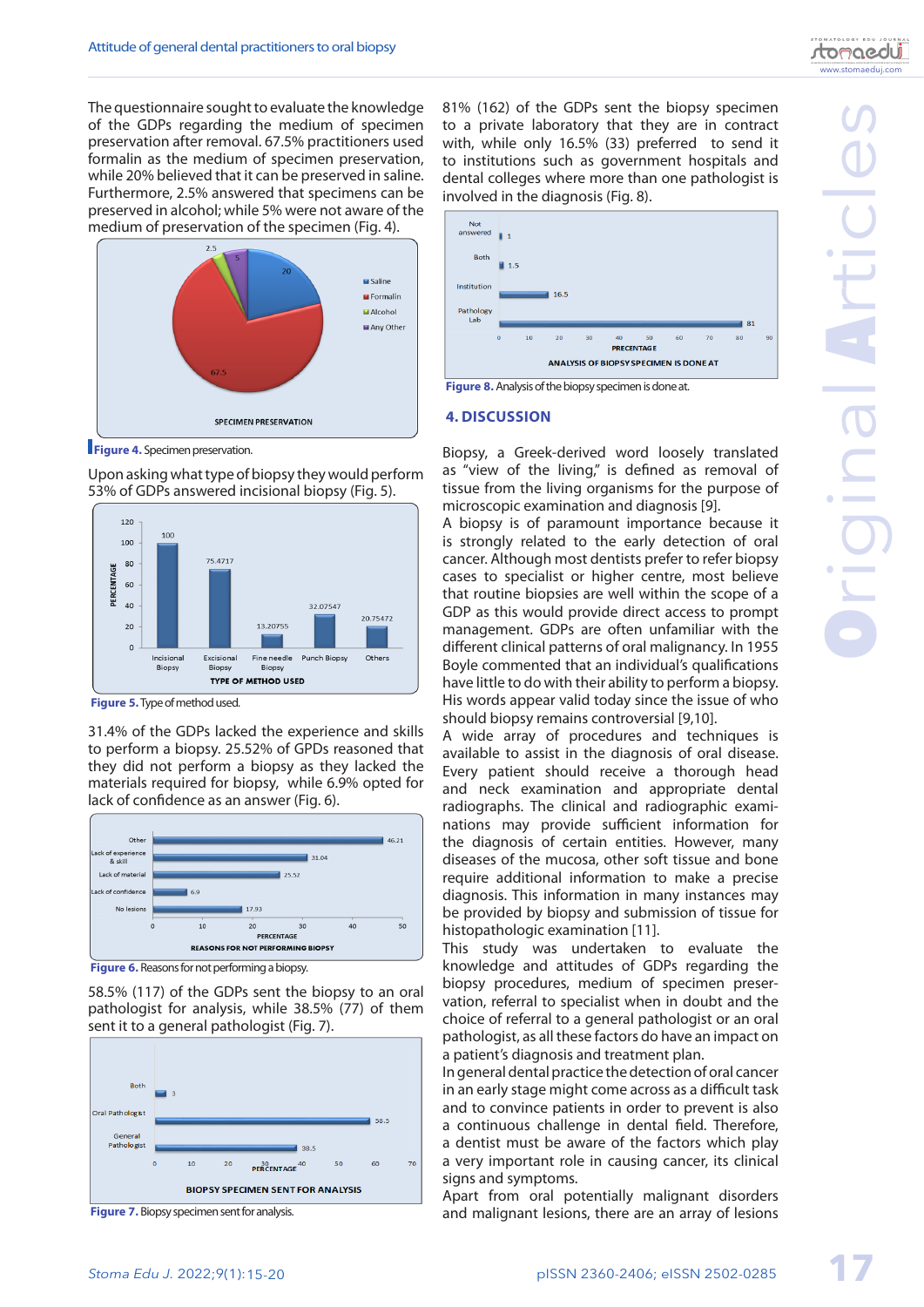The questionnaire sought to evaluate the knowledge of the GDPs regarding the medium of specimen preservation after removal. 67.5% practitioners used formalin as the medium of specimen preservation, while 20% believed that it can be preserved in saline. Furthermore, 2.5% answered that specimens can be preserved in alcohol; while 5% were not aware of the medium of preservation of the specimen (Fig. 4).



**Figure 4.** Specimen preservation.

Upon asking what type of biopsy they would perform 53% of GDPs answered incisional biopsy (Fig. 5).



**Figure 5.**Type of method used.

31.4% of the GDPs lacked the experience and skills to perform a biopsy. 25.52% of GPDs reasoned that they did not perform a biopsy as they lacked the materials required for biopsy, while 6.9% opted for lack of confidence as an answer (Fig. 6).



**Figure 6.** Reasons for not performing a biopsy.

58.5% (117) of the GDPs sent the biopsy to an oral pathologist for analysis, while 38.5% (77) of them sent it to a general pathologist (Fig. 7).



**Figure 7.** Biopsy specimen sent for analysis.

81% (162) of the GDPs sent the biopsy specimen to a private laboratory that they are in contract with, while only 16.5% (33) preferred to send it to institutions such as government hospitals and dental colleges where more than one pathologist is involved in the diagnosis (Fig. 8).



**Figure 8.** Analysis of the biopsy specimen is done at.

### **4. DISCUSSION**

Biopsy, a Greek-derived word loosely translated as "view of the living," is defined as removal of tissue from the living organisms for the purpose of microscopic examination and diagnosis [9].

A biopsy is of paramount importance because it is strongly related to the early detection of oral cancer. Although most dentists prefer to refer biopsy cases to specialist or higher centre, most believe that routine biopsies are well within the scope of a GDP as this would provide direct access to prompt management. GDPs are often unfamiliar with the different clinical patterns of oral malignancy. In 1955 Boyle commented that an individual's qualifications have little to do with their ability to perform a biopsy. His words appear valid today since the issue of who should biopsy remains controversial [9,10].

A wide array of procedures and techniques is available to assist in the diagnosis of oral disease. Every patient should receive a thorough head and neck examination and appropriate dental radiographs. The clinical and radiographic examinations may provide sufficient information for the diagnosis of certain entities. However, many diseases of the mucosa, other soft tissue and bone require additional information to make a precise diagnosis. This information in many instances may be provided by biopsy and submission of tissue for histopathologic examination [11].

This study was undertaken to evaluate the knowledge and attitudes of GDPs regarding the biopsy procedures, medium of specimen preservation, referral to specialist when in doubt and the choice of referral to a general pathologist or an oral pathologist, as all these factors do have an impact on a patient's diagnosis and treatment plan.

In general dental practice the detection of oral cancer in an early stage might come across as a difficult task and to convince patients in order to prevent is also a continuous challenge in dental field. Therefore, a dentist must be aware of the factors which play a very important role in causing cancer, its clinical signs and symptoms.

Apart from oral potentially malignant disorders and malignant lesions, there are an array of lesions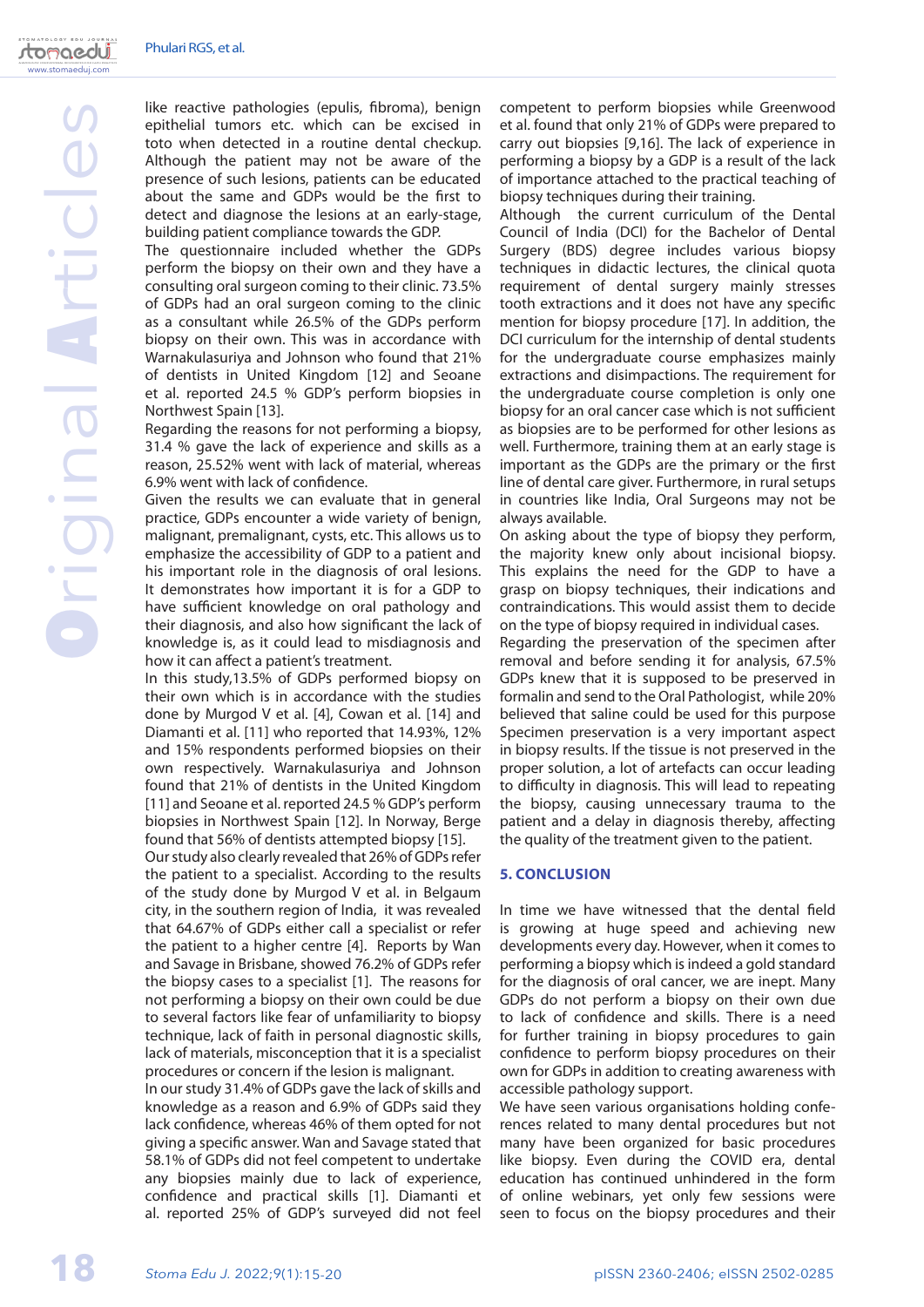www.stomaeduj.com

tomaedui

like reactive pathologies (epulis, fibroma), benign epithelial tumors etc. which can be excised in toto when detected in a routine dental checkup. Although the patient may not be aware of the presence of such lesions, patients can be educated about the same and GDPs would be the first to detect and diagnose the lesions at an early-stage, building patient compliance towards the GDP.

The questionnaire included whether the GDPs perform the biopsy on their own and they have a consulting oral surgeon coming to their clinic. 73.5% of GDPs had an oral surgeon coming to the clinic as a consultant while 26.5% of the GDPs perform biopsy on their own. This was in accordance with Warnakulasuriya and Johnson who found that 21% of dentists in United Kingdom [12] and Seoane et al. reported 24.5 % GDP's perform biopsies in Northwest Spain [13].

Regarding the reasons for not performing a biopsy, 31.4 % gave the lack of experience and skills as a reason, 25.52% went with lack of material, whereas 6.9% went with lack of confidence.

Given the results we can evaluate that in general practice, GDPs encounter a wide variety of benign, malignant, premalignant, cysts, etc. This allows us to emphasize the accessibility of GDP to a patient and his important role in the diagnosis of oral lesions. It demonstrates how important it is for a GDP to have sufficient knowledge on oral pathology and their diagnosis, and also how significant the lack of knowledge is, as it could lead to misdiagnosis and how it can affect a patient's treatment.

In this study,13.5% of GDPs performed biopsy on their own which is in accordance with the studies done by Murgod V et al. [4], Cowan et al. [14] and Diamanti et al. [11] who reported that 14.93%, 12% and 15% respondents performed biopsies on their own respectively. Warnakulasuriya and Johnson found that 21% of dentists in the United Kingdom [11] and Seoane et al. reported 24.5 % GDP's perform biopsies in Northwest Spain [12]. In Norway, Berge found that 56% of dentists attempted biopsy [15].

Our study also clearly revealed that 26% of GDPs refer the patient to a specialist. According to the results of the study done by Murgod V et al. in Belgaum city, in the southern region of India, it was revealed that 64.67% of GDPs either call a specialist or refer the patient to a higher centre [4]. Reports by Wan and Savage in Brisbane, showed 76.2% of GDPs refer the biopsy cases to a specialist [1]. The reasons for not performing a biopsy on their own could be due to several factors like fear of unfamiliarity to biopsy technique, lack of faith in personal diagnostic skills, lack of materials, misconception that it is a specialist procedures or concern if the lesion is malignant.

In our study 31.4% of GDPs gave the lack of skills and knowledge as a reason and 6.9% of GDPs said they lack confidence, whereas 46% of them opted for not giving a specific answer. Wan and Savage stated that 58.1% of GDPs did not feel competent to undertake any biopsies mainly due to lack of experience, confidence and practical skills [1]. Diamanti et al. reported 25% of GDP's surveyed did not feel competent to perform biopsies while Greenwood et al. found that only 21% of GDPs were prepared to carry out biopsies [9,16]. The lack of experience in performing a biopsy by a GDP is a result of the lack of importance attached to the practical teaching of biopsy techniques during their training.

Although the current curriculum of the Dental Council of India (DCI) for the Bachelor of Dental Surgery (BDS) degree includes various biopsy techniques in didactic lectures, the clinical quota requirement of dental surgery mainly stresses tooth extractions and it does not have any specific mention for biopsy procedure [17]. In addition, the DCI curriculum for the internship of dental students for the undergraduate course emphasizes mainly extractions and disimpactions. The requirement for the undergraduate course completion is only one biopsy for an oral cancer case which is not sufficient as biopsies are to be performed for other lesions as well. Furthermore, training them at an early stage is important as the GDPs are the primary or the first line of dental care giver. Furthermore, in rural setups in countries like India, Oral Surgeons may not be always available.

On asking about the type of biopsy they perform, the majority knew only about incisional biopsy. This explains the need for the GDP to have a grasp on biopsy techniques, their indications and contraindications. This would assist them to decide on the type of biopsy required in individual cases.

Regarding the preservation of the specimen after removal and before sending it for analysis, 67.5% GDPs knew that it is supposed to be preserved in formalin and send to the Oral Pathologist, while 20% believed that saline could be used for this purpose Specimen preservation is a very important aspect in biopsy results. If the tissue is not preserved in the proper solution, a lot of artefacts can occur leading to difficulty in diagnosis. This will lead to repeating the biopsy, causing unnecessary trauma to the patient and a delay in diagnosis thereby, affecting the quality of the treatment given to the patient.

### **5. CONCLUSION**

In time we have witnessed that the dental field is growing at huge speed and achieving new developments every day. However, when it comes to performing a biopsy which is indeed a gold standard for the diagnosis of oral cancer, we are inept. Many GDPs do not perform a biopsy on their own due to lack of confidence and skills. There is a need for further training in biopsy procedures to gain confidence to perform biopsy procedures on their own for GDPs in addition to creating awareness with accessible pathology support.

We have seen various organisations holding conferences related to many dental procedures but not many have been organized for basic procedures like biopsy. Even during the COVID era, dental education has continued unhindered in the form of online webinars, yet only few sessions were seen to focus on the biopsy procedures and their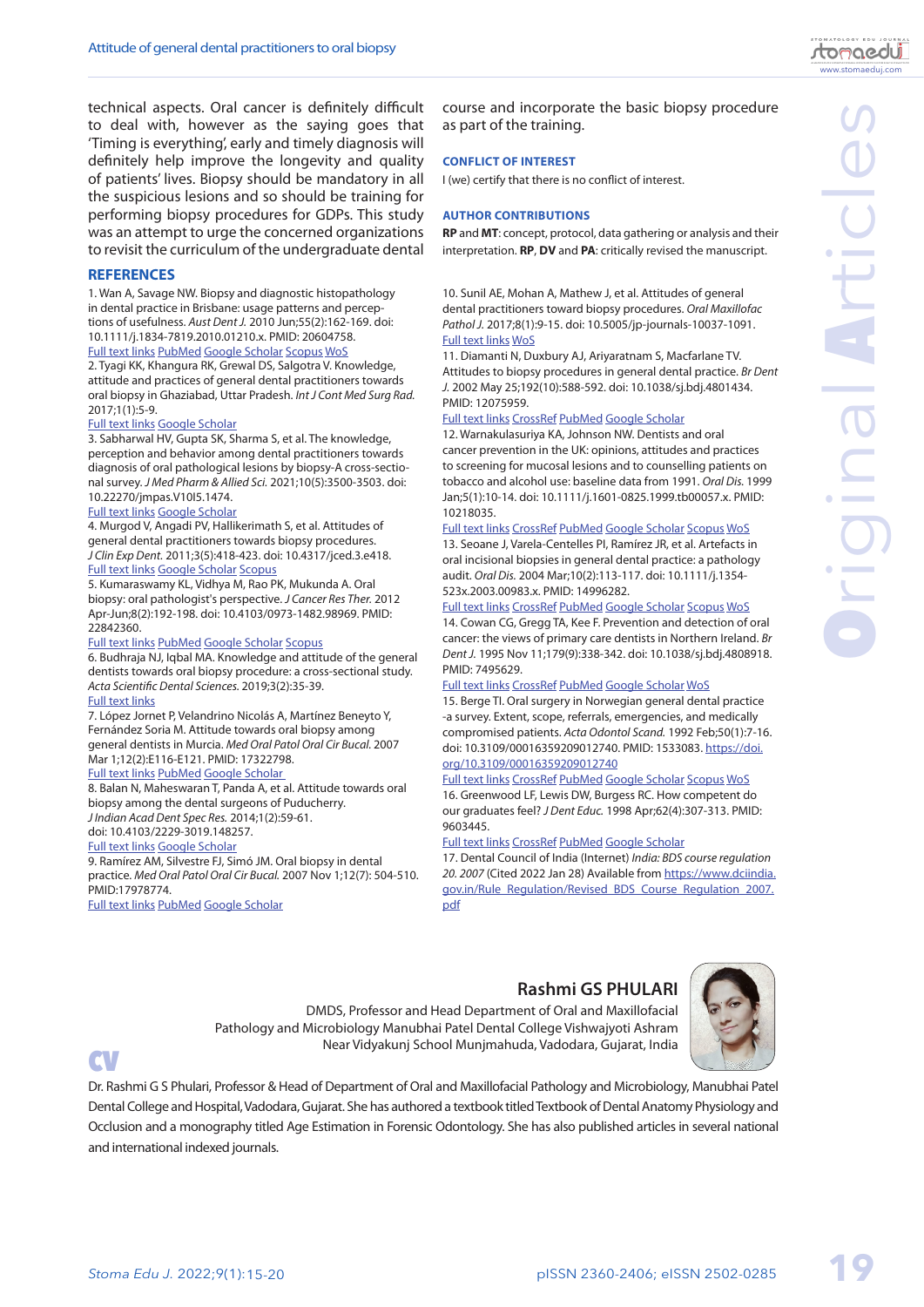Original Articles

**NIDIN** 

al Artic

technical aspects. Oral cancer is definitely difficult to deal with, however as the saying goes that 'Timing is everything', early and timely diagnosis will definitely help improve the longevity and quality of patients' lives. Biopsy should be mandatory in all the suspicious lesions and so should be training for performing biopsy procedures for GDPs. This study was an attempt to urge the concerned organizations to revisit the curriculum of the undergraduate dental

### **REFERENCES**

1. Wan A, Savage NW. Biopsy and diagnostic histopathology in dental practice in Brisbane: usage patterns and perceptions of usefulness. *Aust Dent J.* 2010 Jun;55(2):162-169. doi: 10.1111/j.1834-7819.2010.01210.x. PMID: 20604758.

### [Full text links](https://onlinelibrary.wiley.com/doi/full/10.1111/j.1834-7819.2010.01210) [PubMed](E:\Revista Vechi\2022\Nr 1\Art 1\Materiale\PubMed) [Google Scholar](https://scholar.google.com/scholar?cluster=1404208586179068643&hl=ro&as_sdt=0,5) [Scopus](https://www-scopus-com.am.e-nformation.ro/record/display.uri?eid=2-s2.0-77955763850&origin=resultslist&sort=plf-f&src=s&st1=Biopsy+and+diagnostic+histopathology+in+dental+practice+in+Brisbane%3a+usage+patterns+and+perception+of+usefulness&sid=d8f66ddaca5237e6fa3d166fe4673e42&sot=b&sdt=b&sl=127&s=TITLE-ABS-KEY%28Biopsy+and+diagnostic+histopathology+in+dental+practice+in+Brisbane%3a+usage+patterns+and+perception+of+usefulness%29&relpos=0&citeCnt=24&searchTerm=) [WoS](https://www-webofscience-com.am.e-nformation.ro/wos/woscc/full-record/WOS:000277979500010)

2. Tyagi KK, Khangura RK, Grewal DS, Salgotra V. Knowledge, attitude and practices of general dental practitioners towards oral biopsy in Ghaziabad, Uttar Pradesh. *Int J Cont Med Surg Rad.*  2017;1(1):5-9.

#### [Full text links](https://www.ijcmsr.com/uploads/1/0/2/7/102704056/ijcmsr_2_feb_17.pdf) [Google Scholar](https://scholar.google.com/scholar?cluster=2201270036593849606&hl=ro&as_sdt=0,5)

3. Sabharwal HV, Gupta SK, Sharma S, et al. The knowledge, perception and behavior among dental practitioners towards diagnosis of oral pathological lesions by biopsy-A cross-sectional survey. *J Med Pharm & Allied Sci.* 2021;10(5):3500-3503. doi: 10.22270/jmpas.V10I5.1474.

#### [Full text links](https://jmpas.com/download/article/1638443992JMPAS_SEPTEMBER-OCTOBER_2021.pdf) [Google Scholar](https://scholar.google.com/scholar?cluster=735206966366073353&hl=ro&as_sdt=0,5)

4. Murgod V, Angadi PV, Hallikerimath S, et al. Attitudes of general dental practitioners towards biopsy procedures. *J Clin Exp Dent.* 2011;3(5):418-423. doi: 10.4317/jced.3.e418. [Full text links](http://www.medicinaoral.com/odo/volumenes/v3i5/jcedv3i5p418.pdf) [Google Scholar](https://scholar.google.com/scholar?cluster=12040301699153407735&hl=ro&as_sdt=0,5) [Scopus](https://www-scopus-com.am.e-nformation.ro/record/display.uri?eid=2-s2.0-84865095449&origin=resultslist&sort=plf-f&src=s&st1=Attitudes+of+general+dental+practitioners+towards+biopsy+procedures&sid=c234f0aaf704b28e8a31acb0173f4da2&sot=b&sdt=b&sl=82&s=TITLE-ABS-KEY%28Attitudes+of+general+dental+practitioners+towards+biopsy+procedures%29&relpos=0&citeCnt=4&searchTerm=)

5. Kumaraswamy KL, Vidhya M, Rao PK, Mukunda A. Oral biopsy: oral pathologist's perspective. *J Cancer Res Ther.* 2012 Apr-Jun;8(2):192-198. doi: 10.4103/0973-1482.98969. PMID: 22842360.

#### [Full text links](https://www.cancerjournal.net/article.asp?issn=0973-1482;year=2012;volume=8;issue=2;spage=192;epage=198;aulast=Kumaraswamy) [PubMed](https://pubmed.ncbi.nlm.nih.gov/22842360/) [Google Scholar](https://scholar.google.com/scholar?cluster=6128444819090392245&hl=ro&as_sdt=0,5) [Scopus](https://www-scopus-com.am.e-nformation.ro/record/display.uri?eid=2-s2.0-84864657584&origin=resultslist&sort=plf-f&src=s&st1=Oral+biopsy%3a+Oral+pathologist%27s+perspective&sid=1cdbcb0168d16786e6bdc51a72efeb82&sot=b&sdt=b&sl=58&s=TITLE-ABS-KEY%28Oral+biopsy%3a+Oral+pathologist%27s+perspective%29&relpos=2&citeCnt=23&searchTerm=)

6. Budhraja NJ, Iqbal MA. Knowledge and attitude of the general dentists towards oral biopsy procedure: a cross-sectional study. *Acta Scientific Dental Sciences.* 2019;3(2):35-39.

### [Full text links](https://www.researchgate.net/publication/343084369_Knowledge_and_Attitude_of_the_General_Dentists_Towards_Oral_Biopsy_Procedure_A_Cross-Sectional_Study)

7. López Jornet P, Velandrino Nicolás A, Martínez Beneyto Y, Fernández Soria M. Attitude towards oral biopsy among general dentists in Murcia. *Med Oral Patol Oral Cir Bucal.* 2007 Mar 1;12(2):E116-E121. PMID: 17322798.

### [Full text links](http://www.medicinaoral.com/medoralfree01/v12i2/medoralv12i2p116.pdf) [PubMed](https://pubmed.ncbi.nlm.nih.gov/17322798/) [Google Scholar](https://scholar.google.com/scholar?cluster=16277437068823994233&hl=ro&as_sdt=0,5)

8. Balan N, Maheswaran T, Panda A, et al. Attitude towards oral biopsy among the dental surgeons of Puducherry.

*J Indian Acad Dent Spec Res.* 2014;1(2):59-61.

### doi: 10.4103/2229-3019.148257.

[Full text links](https://jiadsr.org/index.php/archives/60-july-december-2014-2) [Google Scholar](https://scholar.google.com/scholar?cluster=17965047047971038634&hl=ro&as_sdt=0,5)

9. Ramírez AM, Silvestre FJ, Simó JM. Oral biopsy in dental practice. *Med Oral Patol Oral Cir Bucal.* 2007 Nov 1;12(7): 504-510. PMID:17978774.

[Full text links](http://www.medicinaoral.com/pubmed/medoralv12_i7_pE504.pdf) [PubMed](https://pubmed.ncbi.nlm.nih.gov/17978774/) [Google Scholar](https://scholar.google.com/scholar?cluster=16289228677207072497&hl=ro&as_sdt=0,5)

course and incorporate the basic biopsy procedure as part of the training.

### **CONFLICT OF INTEREST**

I (we) certify that there is no conflict of interest.

#### **AUTHOR CONTRIBUTIONS**

**RP** and **MT**: concept, protocol, data gathering or analysis and their interpretation. **RP**, **DV** and **PA**: critically revised the manuscript.

10. Sunil AE, Mohan A, Mathew J, et al. Attitudes of general dental practitioners toward biopsy procedures. *Oral Maxillofac Pathol J.* 2017;8(1):9-15. doi: 10.5005/jp-journals-10037-1091. [Full text links](https://ompj.org/files/23f389737f966b3576377397fca0618e-03_10037-1091.pdf) [WoS](https://www-webofscience-com.am.e-nformation.ro/wos/woscc/full-record/WOS:000424775500003)

11. Diamanti N, Duxbury AJ, Ariyaratnam S, Macfarlane TV. Attitudes to biopsy procedures in general dental practice. *Br Dent J.* 2002 May 25;192(10):588-592. doi: 10.1038/sj.bdj.4801434. PMID: 12075959.

#### [Full text links](https://www.nature.com/articles/4801434) [CrossRef](https://doi.org/10.1038/sj.bdj.4801434) [PubMed](https://pubmed.ncbi.nlm.nih.gov/12075959/) [Google Scholar](https://scholar.google.com/scholar?cluster=967015482268019537&hl=ro&as_sdt=0,5)

12. Warnakulasuriya KA, Johnson NW. Dentists and oral cancer prevention in the UK: opinions, attitudes and practices to screening for mucosal lesions and to counselling patients on tobacco and alcohol use: baseline data from 1991. *Oral Dis.* 1999 Jan;5(1):10-14. doi: 10.1111/j.1601-0825.1999.tb00057.x. PMID: 10218035.

### [Full text links](https://onlinelibrary.wiley.com/resolve/openurl?genre=article&sid=nlm:pubmed&issn=1354-523X&date=1999&volume=5&issue=1&spage=10) [CrossRef](https://doi.org/10.1111/j.1601-0825.1999.tb00057.x) [PubMed](https://pubmed.ncbi.nlm.nih.gov/10218035/) [Google Scholar](https://scholar.google.com/scholar?cluster=16120226599011230575&hl=ro&as_sdt=0,5) [Scopus](https://www-scopus-com.am.e-nformation.ro/record/display.uri?eid=2-s2.0-0032945149&origin=resultslist&sort=plf-f&src=s&st1=Dentists+and+oral+cancer+prevention+in+the+UK%3a++opinions%2cattitudes+and+practices+to+screening+for+mucosal+lesions+and+to+counselling+patients+on+tobacco+and+alcohol+use%3a+baseline+data+from+1991&sid=ede1f18659942cc3b1cc31a1563a0447&sot=b&sdt=b&sl=209&s=TITLE-ABS-KEY%28Dentists+and+oral+cancer+prevention+in+the+UK%3a++opinions%2c+attitudes+and+practices+to+screening+for+mucosal+lesions+and+to+counselling+patients+on+tobacco+and+alcohol+use%3a+baseline+data+from+1991%29&relpos=0&citeCnt=108&searchTerm=) [WoS](https://www-webofscience-com.am.e-nformation.ro/wos/woscc/full-record/WOS:000084066600003)

13. Seoane J, Varela-Centelles PI, Ramírez JR, et al. Artefacts in oral incisional biopsies in general dental practice: a pathology audit. *Oral Dis.* 2004 Mar;10(2):113-117. doi: 10.1111/j.1354- 523x.2003.00983.x. PMID: 14996282.

#### [Full text links](https://onlinelibrary.wiley.com/resolve/openurl?genre=article&sid=nlm:pubmed&issn=1354-523X&date=2004&volume=10&issue=2&spage=113) [CrossRef](https://doi.org/10.1111/j.1354-523x.2003.00983.x) [PubMed](https://pubmed.ncbi.nlm.nih.gov/14996282/) [Google Scholar](https://scholar.google.com/scholar?cluster=14701609149332552738&hl=ro&as_sdt=0,5) [Scopus](https://www-scopus-com.am.e-nformation.ro/record/display.uri?eid=2-s2.0-1542677573&origin=resultslist&sort=plf-f&src=s&st1=Artifacts+in+oral+incisional+biopsies+in+general+dental+practice%3a+a+pathology+audit&sid=c3e1f3aeac21fe873af8d96011a1a71d&sot=b&sdt=b&sl=98&s=TITLE-ABS-KEY%28Artifacts+in+oral+incisional+biopsies+in+general+dental+practice%3a+a+pathology+audit%29&relpos=0&citeCnt=35&searchTerm=) [WoS](https://www-webofscience-com.am.e-nformation.ro/wos/woscc/full-record/WOS:000189323700008)

14. Cowan CG, Gregg TA, Kee F. Prevention and detection of oral cancer: the views of primary care dentists in Northern Ireland. *Br Dent J.* 1995 Nov 11;179(9):338-342. doi: 10.1038/sj.bdj.4808918. PMID: 7495629.

#### [Full text links](https://doi.org/10.1038/sj.bdj.4808918) [CrossRef](https://doi.org/10.1038/sj.bdj.4808918) [PubMed](https://pubmed.ncbi.nlm.nih.gov/7495629/) [Google Scholar](https://scholar.google.com/scholar?cluster=6375827030939151879&hl=ro&as_sdt=0,5) [WoS](https://www-webofscience-com.am.e-nformation.ro/wos/woscc/full-record/WOS:A1995TF09500017)

15. Berge TI. Oral surgery in Norwegian general dental practice -a survey. Extent, scope, referrals, emergencies, and medically compromised patients. *Acta Odontol Scand.* 1992 Feb;50(1):7-16. doi: 10.3109/00016359209012740. PMID: 1533083. [https://doi.](https://doi.org/10.3109/00016359209012740) [org/10.3109/00016359209012740](https://doi.org/10.3109/00016359209012740)

#### [Full text links](https://www.tandfonline.com/doi/full/10.3109/00016359209012740) [CrossRef](https://doi.org/10.3109/00016359209012740) [PubMed](https://pubmed.ncbi.nlm.nih.gov/1533083/) [Google Scholar](https://scholar.google.com/scholar?cluster=8499538752945848134&hl=ro&as_sdt=0,5) [Scopus](https://www-scopus-com.am.e-nformation.ro/record/display.uri?eid=2-s2.0-0026813460&origin=resultslist&sort=plf-f&src=s&st1=Oral+surgery+in+Norwegian+general+dental+practice%e2%80%94a+survey+Extent%2c+scope%2c+referrals%2c+emergencies%2c+and+medically+compromised+patients&sid=d3fa802c3e8619a46290bea2ee7271fd&sot=b&sdt=b&sl=147&s=TITLE-ABS-KEY%28Oral+surgery+in+Norwegian+general+dental+practice%e2%80%94a+survey+Extent%2c+scope%2c+referrals%2c+emergencies%2c+and+medically+compromised+patients%29&relpos=0&citeCnt=13&searchTerm=) [WoS](https://www-webofscience-com.am.e-nformation.ro/wos/woscc/full-record/WOS:A1992HH72500002)

16. Greenwood LF, Lewis DW, Burgess RC. How competent do our graduates feel? *J Dent Educ.* 1998 Apr;62(4):307-313. PMID: 9603445.

#### [Full text links](https://onlinelibrary.wiley.com/doi/abs/10.1002/j.0022-0337.1998.62.4.tb03198.x?sid=nlm%3Apubmed) [CrossRef](https://doi.org/10.1002/j.0022-0337.1998.62.4.tb03198.x) [PubMed](https://pubmed.ncbi.nlm.nih.gov/9603445/) [Google Scholar](https://scholar.google.com/scholar?cluster=11198363477632124488&hl=ro&as_sdt=0,5)

17. Dental Council of India (Internet) *India: BDS course regulation 20. 2007* (Cited 2022 Jan 28) Available from [https://www.dciindia.](https://www.dciindia.gov.in/Rule_Regulation/Revised_BDS_Course_Regulation_2007.pdf) [gov.in/Rule\\_Regulation/Revised\\_BDS\\_Course\\_Regulation\\_2007.](https://www.dciindia.gov.in/Rule_Regulation/Revised_BDS_Course_Regulation_2007.pdf) [pdf](https://www.dciindia.gov.in/Rule_Regulation/Revised_BDS_Course_Regulation_2007.pdf)

## **Rashmi GS PHULARI**



**CV** 

Dr. Rashmi G S Phulari, Professor & Head of Department of Oral and Maxillofacial Pathology and Microbiology, Manubhai Patel Dental College and Hospital, Vadodara, Gujarat. She has authored a textbook titled Textbook of Dental Anatomy Physiology and Occlusion and a monography titled Age Estimation in Forensic Odontology. She has also published articles in several national and international indexed journals.

Pathology and Microbiology Manubhai Patel Dental College Vishwajyoti Ashram

DMDS, Professor and Head Department of Oral and Maxillofacial

Near Vidyakunj School Munjmahuda, Vadodara, Gujarat, India